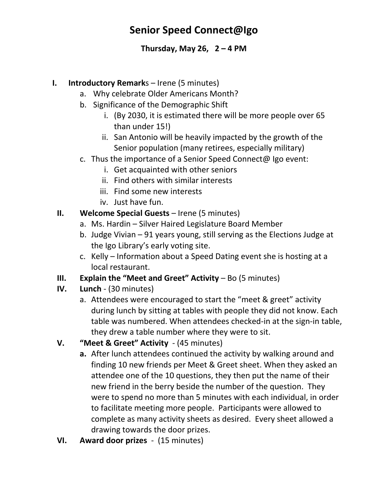# **Senior Speed Connect@Igo**

### **Thursday, May 26, 2 – 4 PM**

#### **I. Introductory Remark**s – Irene (5 minutes)

- a. Why celebrate Older Americans Month?
- b. Significance of the Demographic Shift
	- i. (By 2030, it is estimated there will be more people over 65 than under 15!)
	- ii. San Antonio will be heavily impacted by the growth of the Senior population (many retirees, especially military)
- c. Thus the importance of a Senior Speed Connect@ Igo event:
	- i. Get acquainted with other seniors
	- ii. Find others with similar interests
	- iii. Find some new interests
	- iv. Just have fun.
- **II. Welcome Special Guests** Irene (5 minutes)
	- a. Ms. Hardin Silver Haired Legislature Board Member
	- b. Judge Vivian 91 years young, still serving as the Elections Judge at the Igo Library's early voting site.
	- c. Kelly Information about a Speed Dating event she is hosting at a local restaurant.
- **III. Explain the "Meet and Greet" Activity** Bo (5 minutes)
- **IV. Lunch** (30 minutes)
	- a. Attendees were encouraged to start the "meet & greet" activity during lunch by sitting at tables with people they did not know. Each table was numbered. When attendees checked-in at the sign-in table, they drew a table number where they were to sit.

## **V. "Meet & Greet" Activity** - (45 minutes)

- **a.** After lunch attendees continued the activity by walking around and finding 10 new friends per Meet & Greet sheet. When they asked an attendee one of the 10 questions, they then put the name of their new friend in the berry beside the number of the question. They were to spend no more than 5 minutes with each individual, in order to facilitate meeting more people. Participants were allowed to complete as many activity sheets as desired. Every sheet allowed a drawing towards the door prizes.
- **VI. Award door prizes** (15 minutes)